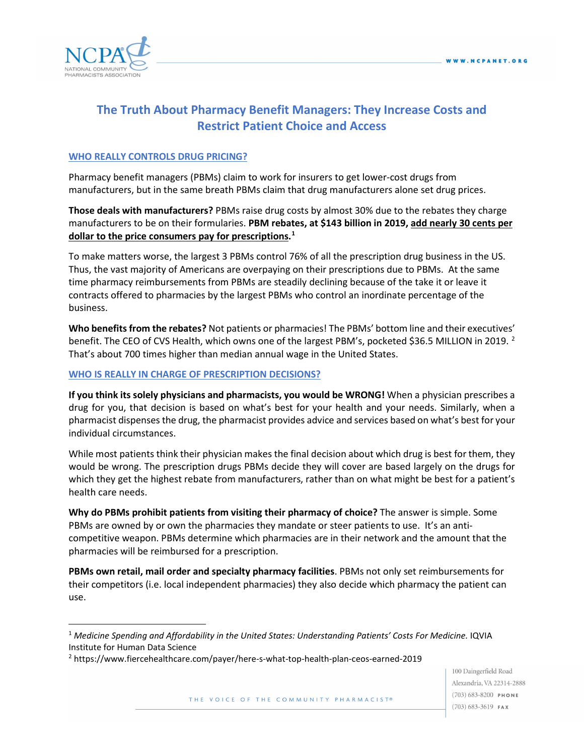

# **The Truth About Pharmacy Benefit Managers: They Increase Costs and Restrict Patient Choice and Access**

#### **WHO REALLY CONTROLS DRUG PRICING?**

Pharmacy benefit managers (PBMs) claim to work for insurers to get lower-cost drugs from manufacturers, but in the same breath PBMs claim that drug manufacturers alone set drug prices.

**Those deals with manufacturers?** PBMs raise drug costs by almost 30% due to the rebates they charge manufacturers to be on their formularies. **PBM rebates, at \$143 billion in 2019, add nearly 30 cents per dollar to the price consumers pay for prescriptions. [1](#page-0-0)**

To make matters worse, the largest 3 PBMs control 76% of all the prescription drug business in the US. Thus, the vast majority of Americans are overpaying on their prescriptions due to PBMs. At the same time pharmacy reimbursements from PBMs are steadily declining because of the take it or leave it contracts offered to pharmacies by the largest PBMs who control an inordinate percentage of the business.

**Who benefits from the rebates?** Not patients or pharmacies! The PBMs' bottom line and their executives' benefit. The CEO of CVS Health, which owns one of the largest PBM's, pocketed \$36.5 MILLION in [2](#page-0-1)019.<sup>2</sup> That's about 700 times higher than median annual wage in the United States.

#### **WHO IS REALLY IN CHARGE OF PRESCRIPTION DECISIONS?**

**If you think its solely physicians and pharmacists, you would be WRONG!** When a physician prescribes a drug for you, that decision is based on what's best for your health and your needs. Similarly, when a pharmacist dispenses the drug, the pharmacist provides advice and services based on what's best for your individual circumstances.

While most patients think their physician makes the final decision about which drug is best for them, they would be wrong. The prescription drugs PBMs decide they will cover are based largely on the drugs for which they get the highest rebate from manufacturers, rather than on what might be best for a patient's health care needs.

**Why do PBMs prohibit patients from visiting their pharmacy of choice?** The answer is simple. Some PBMs are owned by or own the pharmacies they mandate or steer patients to use. It's an anticompetitive weapon. PBMs determine which pharmacies are in their network and the amount that the pharmacies will be reimbursed for a prescription.

**PBMs own retail, mail order and specialty pharmacy facilities**. PBMs not only set reimbursements for their competitors (i.e. local independent pharmacies) they also decide which pharmacy the patient can use.

100 Daingerfield Road Alexandria, VA 22314-2888  $(703) 683 - 8200$  PHONE  $(703)$  683-3619 FAX

<span id="page-0-0"></span><sup>1</sup> *Medicine Spending and Affordability in the United States: Understanding Patients' Costs For Medicine.* IQVIA Institute for Human Data Science

<span id="page-0-1"></span><sup>2</sup> https://www.fiercehealthcare.com/payer/here-s-what-top-health-plan-ceos-earned-2019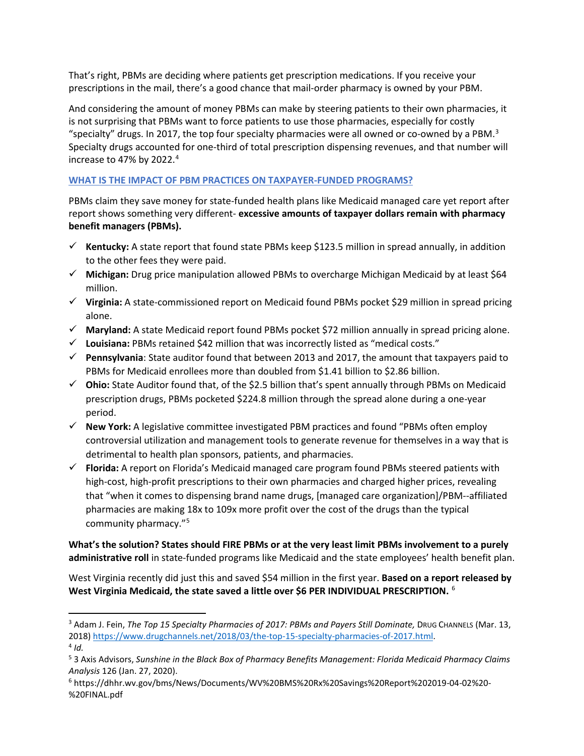That's right, PBMs are deciding where patients get prescription medications. If you receive your prescriptions in the mail, there's a good chance that mail-order pharmacy is owned by your PBM.

And considering the amount of money PBMs can make by steering patients to their own pharmacies, it is not surprising that PBMs want to force patients to use those pharmacies, especially for costly "specialty" drugs. In 2017, the top four specialty pharmacies were all owned or co-owned by a PBM. $3$ Specialty drugs accounted for one-third of total prescription dispensing revenues, and that number will increase to [4](#page-1-1)7% by 2022.<sup>4</sup>

## **WHAT IS THE IMPACT OF PBM PRACTICES ON TAXPAYER-FUNDED PROGRAMS?**

PBMs claim they save money for state-funded health plans like Medicaid managed care yet report after report shows something very different- **excessive amounts of taxpayer dollars remain with pharmacy benefit managers (PBMs).**

- **Kentucky:** A state report that found state PBMs keep \$123.5 million in spread annually, in addition to the other fees they were paid.
- **Michigan:** Drug price manipulation allowed PBMs to overcharge Michigan Medicaid by at least \$64 million.
- **Virginia:** A state-commissioned report on Medicaid found PBMs pocket \$29 million in spread pricing alone.
- $\checkmark$  Maryland: A state Medicaid report found PBMs pocket \$72 million annually in spread pricing alone.
- **Louisiana:** PBMs retained \$42 million that was incorrectly listed as "medical costs."
- **Pennsylvania**: State auditor found that between 2013 and 2017, the amount that taxpayers paid to PBMs for Medicaid enrollees more than doubled from \$1.41 billion to \$2.86 billion.
- **Ohio:** State Auditor found that, of the \$2.5 billion that's spent annually through PBMs on Medicaid prescription drugs, PBMs pocketed \$224.8 million through the spread alone during a one-year period.
- **New York:** A legislative committee investigated PBM practices and found "PBMs often employ controversial utilization and management tools to generate revenue for themselves in a way that is detrimental to health plan sponsors, patients, and pharmacies.
- **Florida:** A report on Florida's Medicaid managed care program found PBMs steered patients with high-cost, high-profit prescriptions to their own pharmacies and charged higher prices, revealing that "when it comes to dispensing brand name drugs, [managed care organization]/PBM--affiliated pharmacies are making 18x to 109x more profit over the cost of the drugs than the typical community pharmacy.["5](#page-1-2)

**What's the solution? States should FIRE PBMs or at the very least limit PBMs involvement to a purely administrative roll** in state-funded programs like Medicaid and the state employees' health benefit plan.

West Virginia recently did just this and saved \$54 million in the first year. **Based on a report released by West Virginia Medicaid, the state saved a little over \$6 PER INDIVIDUAL PRESCRIPTION.** [6](#page-1-3)

<span id="page-1-0"></span><sup>&</sup>lt;sup>3</sup> Adam J. Fein, *The Top 15 Specialty Pharmacies of 2017: PBMs and Payers Still Dominate, DRUG CHANNELS (Mar. 13,* 2018[\) https://www.drugchannels.net/2018/03/the-top-15-specialty-pharmacies-of-2017.html.](https://www.drugchannels.net/2018/03/the-top-15-specialty-pharmacies-of-2017.html) 4 *Id.*

<span id="page-1-2"></span><span id="page-1-1"></span><sup>5</sup> 3 Axis Advisors, *Sunshine in the Black Box of Pharmacy Benefits Management: Florida Medicaid Pharmacy Claims Analysis* 126 (Jan. 27, 2020).

<span id="page-1-3"></span><sup>6</sup> https://dhhr.wv.gov/bms/News/Documents/WV%20BMS%20Rx%20Savings%20Report%202019-04-02%20- %20FINAL.pdf